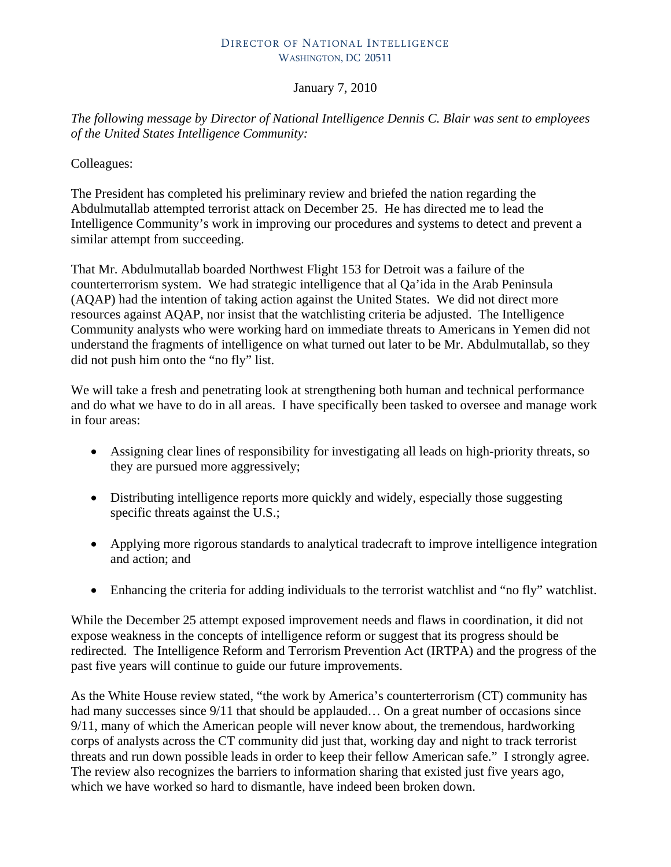## DIRECTOR OF NATIONAL INTELLIGENCE WASHINGTON, DC 20511

## January 7, 2010

*The following message by Director of National Intelligence Dennis C. Blair was sent to employees of the United States Intelligence Community:* 

Colleagues:

The President has completed his preliminary review and briefed the nation regarding the Abdulmutallab attempted terrorist attack on December 25. He has directed me to lead the Intelligence Community's work in improving our procedures and systems to detect and prevent a similar attempt from succeeding.

That Mr. Abdulmutallab boarded Northwest Flight 153 for Detroit was a failure of the counterterrorism system. We had strategic intelligence that al Qa'ida in the Arab Peninsula (AQAP) had the intention of taking action against the United States. We did not direct more resources against AQAP, nor insist that the watchlisting criteria be adjusted. The Intelligence Community analysts who were working hard on immediate threats to Americans in Yemen did not understand the fragments of intelligence on what turned out later to be Mr. Abdulmutallab, so they did not push him onto the "no fly" list.

We will take a fresh and penetrating look at strengthening both human and technical performance and do what we have to do in all areas. I have specifically been tasked to oversee and manage work in four areas:

- Assigning clear lines of responsibility for investigating all leads on high-priority threats, so they are pursued more aggressively;
- Distributing intelligence reports more quickly and widely, especially those suggesting specific threats against the U.S.;
- Applying more rigorous standards to analytical tradecraft to improve intelligence integration and action; and
- Enhancing the criteria for adding individuals to the terrorist watchlist and "no fly" watchlist.

While the December 25 attempt exposed improvement needs and flaws in coordination, it did not expose weakness in the concepts of intelligence reform or suggest that its progress should be redirected. The Intelligence Reform and Terrorism Prevention Act (IRTPA) and the progress of the past five years will continue to guide our future improvements.

As the White House review stated, "the work by America's counterterrorism (CT) community has had many successes since 9/11 that should be applauded... On a great number of occasions since 9/11, many of which the American people will never know about, the tremendous, hardworking corps of analysts across the CT community did just that, working day and night to track terrorist threats and run down possible leads in order to keep their fellow American safe." I strongly agree. The review also recognizes the barriers to information sharing that existed just five years ago, which we have worked so hard to dismantle, have indeed been broken down.